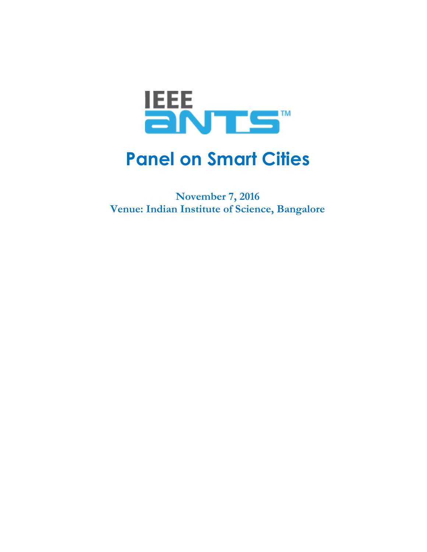

# **Panel on Smart Cities**

**November 7, 2016 Venue: Indian Institute of Science, Bangalore**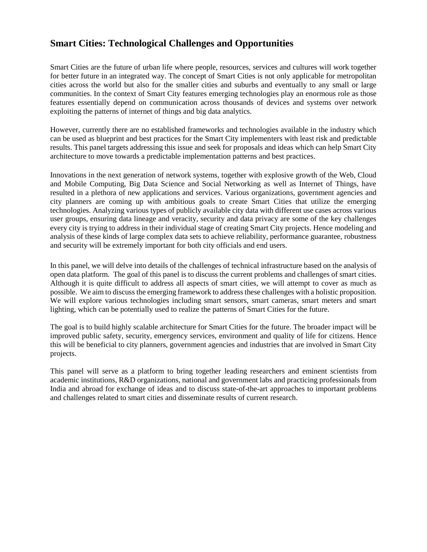## **Smart Cities: Technological Challenges and Opportunities**

Smart Cities are the future of urban life where people, resources, services and cultures will work together for better future in an integrated way. The concept of Smart Cities is not only applicable for metropolitan cities across the world but also for the smaller cities and suburbs and eventually to any small or large communities. In the context of Smart City features emerging technologies play an enormous role as those features essentially depend on communication across thousands of devices and systems over network exploiting the patterns of internet of things and big data analytics.

However, currently there are no established frameworks and technologies available in the industry which can be used as blueprint and best practices for the Smart City implementers with least risk and predictable results. This panel targets addressing this issue and seek for proposals and ideas which can help Smart City architecture to move towards a predictable implementation patterns and best practices.

Innovations in the next generation of network systems, together with explosive growth of the Web, Cloud and Mobile Computing, Big Data Science and Social Networking as well as Internet of Things, have resulted in a plethora of new applications and services. Various organizations, government agencies and city planners are coming up with ambitious goals to create Smart Cities that utilize the emerging technologies. Analyzing various types of publicly available city data with different use cases across various user groups, ensuring data lineage and veracity, security and data privacy are some of the key challenges every city is trying to address in their individual stage of creating Smart City projects. Hence modeling and analysis of these kinds of large complex data sets to achieve reliability, performance guarantee, robustness and security will be extremely important for both city officials and end users.

In this panel, we will delve into details of the challenges of technical infrastructure based on the analysis of open data platform. The goal of this panel is to discuss the current problems and challenges of smart cities. Although it is quite difficult to address all aspects of smart cities, we will attempt to cover as much as possible. We aim to discussthe emerging framework to address these challenges with a holistic proposition. We will explore various technologies including smart sensors, smart cameras, smart meters and smart lighting, which can be potentially used to realize the patterns of Smart Cities for the future.

The goal is to build highly scalable architecture for Smart Cities for the future. The broader impact will be improved public safety, security, emergency services, environment and quality of life for citizens. Hence this will be beneficial to city planners, government agencies and industries that are involved in Smart City projects.

This panel will serve as a platform to bring together leading researchers and eminent scientists from academic institutions, R&D organizations, national and government labs and practicing professionals from India and abroad for exchange of ideas and to discuss state-of-the-art approaches to important problems and challenges related to smart cities and disseminate results of current research.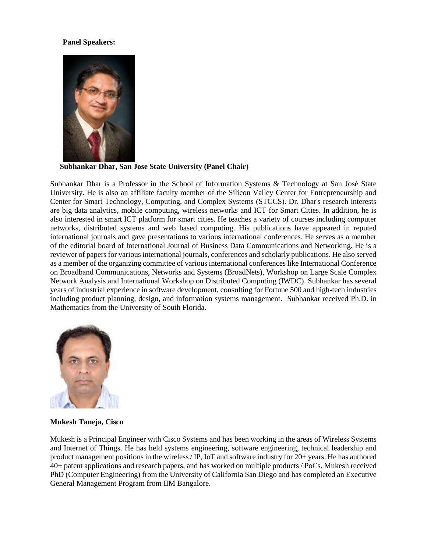#### **Panel Speakers:**



**Subhankar Dhar, San Jose State University (Panel Chair)**

Subhankar Dhar is a Professor in the School of Information Systems & Technology at San José State University. He is also an affiliate faculty member of the Silicon Valley Center for Entrepreneurship and Center for Smart Technology, Computing, and Complex Systems (STCCS). Dr. Dhar's research interests are big data analytics, mobile computing, wireless networks and ICT for Smart Cities. In addition, he is also interested in smart ICT platform for smart cities. He teaches a variety of courses including computer networks, distributed systems and web based computing. His publications have appeared in reputed international journals and gave presentations to various international conferences. He serves as a member of the editorial board of International Journal of Business Data Communications and Networking. He is a reviewer of papers for various international journals, conferences and scholarly publications. He also served as a member of the organizing committee of various international conferences like International Conference on Broadband Communications, Networks and Systems (BroadNets), Workshop on Large Scale Complex Network Analysis and International Workshop on Distributed Computing (IWDC). Subhankar has several years of industrial experience in software development, consulting for Fortune 500 and high-tech industries including product planning, design, and information systems management. Subhankar received Ph.D. in Mathematics from the University of South Florida.



#### **Mukesh Taneja, Cisco**

Mukesh is a Principal Engineer with Cisco Systems and has been working in the areas of Wireless Systems and Internet of Things. He has held systems engineering, software engineering, technical leadership and product management positions in the wireless / IP, IoT and software industry for 20+ years. He has authored 40+ patent applications and research papers, and has worked on multiple products / PoCs. Mukesh received PhD (Computer Engineering) from the University of California San Diego and has completed an Executive General Management Program from IIM Bangalore.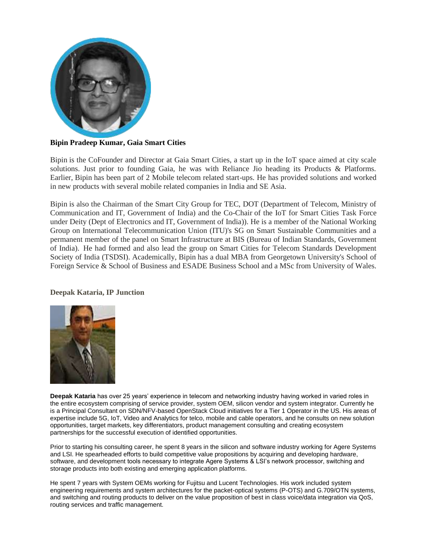

### **Bipin Pradeep Kumar, Gaia Smart Cities**

Bipin is the CoFounder and Director at Gaia Smart Cities, a start up in the IoT space aimed at city scale solutions. Just prior to founding Gaia, he was with Reliance Jio heading its Products & Platforms. Earlier, Bipin has been part of 2 Mobile telecom related start-ups. He has provided solutions and worked in new products with several mobile related companies in India and SE Asia.

Bipin is also the Chairman of the Smart City Group for TEC, DOT (Department of Telecom, Ministry of Communication and IT, Government of India) and the Co-Chair of the IoT for Smart Cities Task Force under Deity (Dept of Electronics and IT, Government of India)). He is a member of the National Working Group on International Telecommunication Union (ITU)'s SG on Smart Sustainable Communities and a permanent member of the panel on Smart Infrastructure at BIS (Bureau of Indian Standards, Government of India). He had formed and also lead the group on Smart Cities for Telecom Standards Development Society of India (TSDSI). Academically, Bipin has a dual MBA from Georgetown University's School of Foreign Service & School of Business and ESADE Business School and a MSc from University of Wales.

#### **Deepak Kataria, IP Junction**



**Deepak Kataria** has over 25 years' experience in telecom and networking industry having worked in varied roles in the entire ecosystem comprising of service provider, system OEM, silicon vendor and system integrator. Currently he is a Principal Consultant on SDN/NFV-based OpenStack Cloud initiatives for a Tier 1 Operator in the US. His areas of expertise include 5G, IoT, Video and Analytics for telco, mobile and cable operators, and he consults on new solution opportunities, target markets, key differentiators, product management consulting and creating ecosystem partnerships for the successful execution of identified opportunities.

Prior to starting his consulting career, he spent 8 years in the silicon and software industry working for Agere Systems and LSI. He spearheaded efforts to build competitive value propositions by acquiring and developing hardware, software, and development tools necessary to integrate Agere Systems & LSI's network processor, switching and storage products into both existing and emerging application platforms.

He spent 7 years with System OEMs working for Fujitsu and Lucent Technologies. His work included system engineering requirements and system architectures for the packet-optical systems (P-OTS) and G.709/OTN systems, and switching and routing products to deliver on the value proposition of best in class voice/data integration via QoS, routing services and traffic management.